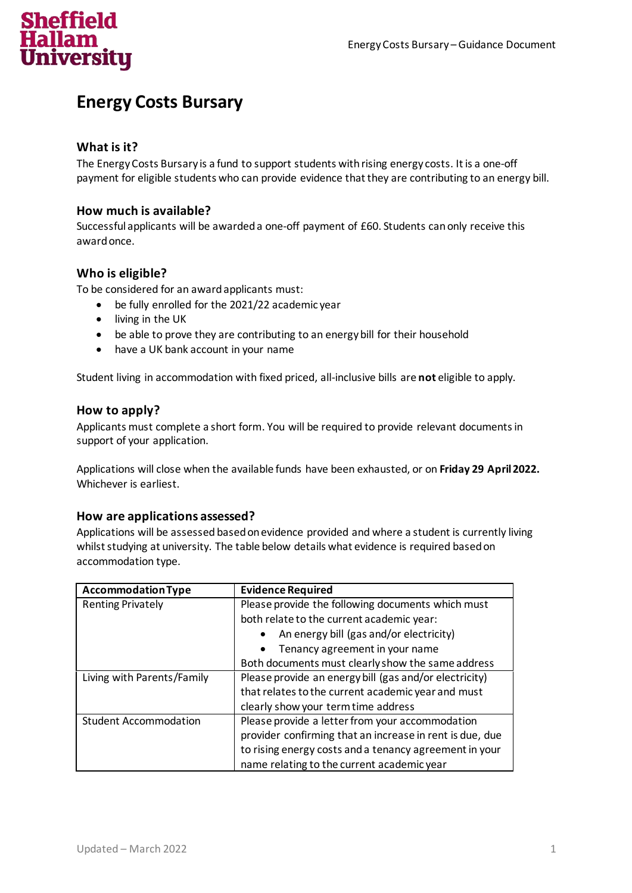# **Sheffield** University

# **Energy Costs Bursary**

# **What is it?**

The Energy Costs Bursary is a fund to support students with rising energy costs. It is a one-off payment for eligible students who can provide evidence that they are contributing to an energy bill.

## **How much is available?**

Successful applicants will be awarded a one-off payment of £60. Students can only receive this award once.

## **Who is eligible?**

To be considered for an awardapplicants must:

- be fully enrolled for the 2021/22 academic year
- living in the UK
- be able to prove they are contributing to an energy bill for their household
- have a UK bank account in your name

Student living in accommodation with fixed priced, all-inclusive bills are **not** eligible to apply.

#### **How to apply?**

Applicants must complete a short form. You will be required to provide relevant documents in support of your application.

Applications will close when the available funds have been exhausted, or on **Friday 29 April2022.**  Whichever is earliest.

#### **How are applications assessed?**

Applications will be assessed based on evidence provided and where a student is currently living whilst studying at university. The table below details what evidence is required based on accommodation type.

| <b>Accommodation Type</b>    | <b>Evidence Required</b>                                 |
|------------------------------|----------------------------------------------------------|
| <b>Renting Privately</b>     | Please provide the following documents which must        |
|                              | both relate to the current academic year:                |
|                              | An energy bill (gas and/or electricity)<br>$\bullet$     |
|                              | Tenancy agreement in your name                           |
|                              | Both documents must clearly show the same address        |
| Living with Parents/Family   | Please provide an energy bill (gas and/or electricity)   |
|                              | that relates to the current academic year and must       |
|                              | clearly show your term time address                      |
| <b>Student Accommodation</b> | Please provide a letter from your accommodation          |
|                              | provider confirming that an increase in rent is due, due |
|                              | to rising energy costs and a tenancy agreement in your   |
|                              | name relating to the current academic year               |